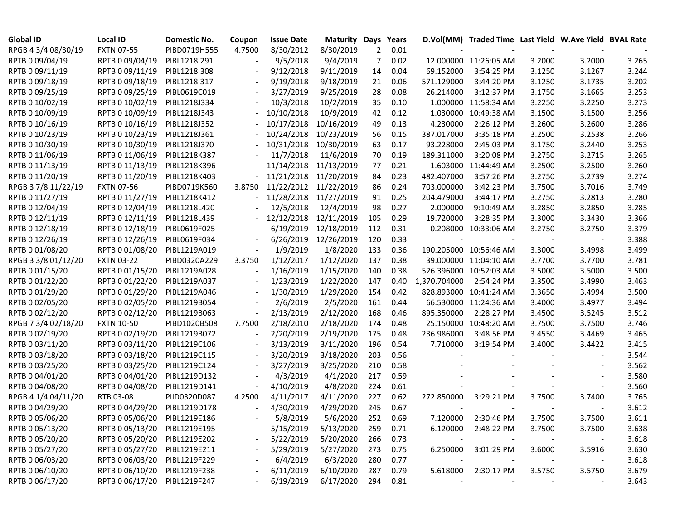| <b>Global ID</b>    | <b>Local ID</b>              | Domestic No. | Coupon                   | <b>Issue Date</b> | <b>Maturity Days</b>  |                | Years    |              | D.Vol(MM) Traded Time Last Yield W.Ave Yield BVAL Rate |        |        |       |
|---------------------|------------------------------|--------------|--------------------------|-------------------|-----------------------|----------------|----------|--------------|--------------------------------------------------------|--------|--------|-------|
| RPGB 4 3/4 08/30/19 | <b>FXTN 07-55</b>            | PIBD0719H555 | 4.7500                   | 8/30/2012         | 8/30/2019             | $\overline{2}$ | 0.01     |              |                                                        |        |        |       |
| RPTB 0 09/04/19     | RPTB 0 09/04/19              | PIBL1218I291 |                          | 9/5/2018          | 9/4/2019              | 7              | 0.02     |              | 12.000000 11:26:05 AM                                  | 3.2000 | 3.2000 | 3.265 |
| RPTB 0 09/11/19     | RPTB 0 09/11/19              | PIBL1218I308 |                          | 9/12/2018         | 9/11/2019             | 14             | 0.04     | 69.152000    | 3:54:25 PM                                             | 3.1250 | 3.1267 | 3.244 |
| RPTB 0 09/18/19     | RPTB 0 09/18/19              | PIBL1218I317 |                          | 9/19/2018         | 9/18/2019             | 21             | 0.06     | 571.129000   | 3:44:20 PM                                             | 3.1250 | 3.1735 | 3.202 |
| RPTB 0 09/25/19     | RPTB 0 09/25/19              | PIBL0619C019 |                          | 3/27/2019         | 9/25/2019             | 28             | 0.08     | 26.214000    | 3:12:37 PM                                             | 3.1750 | 3.1665 | 3.253 |
| RPTB 0 10/02/19     | RPTB 0 10/02/19              | PIBL1218J334 |                          | 10/3/2018         | 10/2/2019             | 35             | 0.10     |              | 1.000000 11:58:34 AM                                   | 3.2250 | 3.2250 | 3.273 |
| RPTB 0 10/09/19     | RPTB 0 10/09/19              | PIBL1218J343 |                          | 10/10/2018        | 10/9/2019             | 42             | 0.12     |              | 1.030000 10:49:38 AM                                   | 3.1500 | 3.1500 | 3.256 |
| RPTB 0 10/16/19     | RPTB 0 10/16/19              | PIBL1218J352 |                          | 10/17/2018        | 10/16/2019            | 49             | 0.13     | 4.230000     | 2:26:12 PM                                             | 3.2600 | 3.2600 | 3.286 |
| RPTB 0 10/23/19     | RPTB 0 10/23/19              | PIBL1218J361 |                          | 10/24/2018        | 10/23/2019            | 56             | 0.15     | 387.017000   | 3:35:18 PM                                             | 3.2500 | 3.2538 | 3.266 |
| RPTB 0 10/30/19     | RPTB 0 10/30/19              | PIBL1218J370 |                          | 10/31/2018        | 10/30/2019            | 63             | 0.17     | 93.228000    | 2:45:03 PM                                             | 3.1750 | 3.2440 | 3.253 |
| RPTB 0 11/06/19     | RPTB 0 11/06/19              | PIBL1218K387 |                          | 11/7/2018         | 11/6/2019             | 70             | 0.19     | 189.311000   | 3:20:08 PM                                             | 3.2750 | 3.2715 | 3.265 |
| RPTB 0 11/13/19     | RPTB 0 11/13/19              | PIBL1218K396 |                          | 11/14/2018        | 11/13/2019            | 77             | 0.21     |              | 1.603000 11:44:49 AM                                   | 3.2500 | 3.2500 | 3.260 |
| RPTB 0 11/20/19     | RPTB 0 11/20/19              | PIBL1218K403 |                          |                   | 11/21/2018 11/20/2019 | 84             | 0.23     | 482.407000   | 3:57:26 PM                                             | 3.2750 | 3.2739 | 3.274 |
| RPGB 3 7/8 11/22/19 | <b>FXTN 07-56</b>            | PIBD0719K560 | 3.8750                   |                   | 11/22/2012 11/22/2019 | 86             | 0.24     | 703.000000   | 3:42:23 PM                                             | 3.7500 | 3.7016 | 3.749 |
| RPTB 0 11/27/19     | RPTB 0 11/27/19              | PIBL1218K412 | $\frac{1}{2}$            | 11/28/2018        | 11/27/2019            | 91             | 0.25     | 204.479000   | 3:44:17 PM                                             | 3.2750 | 3.2813 | 3.280 |
| RPTB 0 12/04/19     | RPTB 0 12/04/19              | PIBL1218L420 |                          | 12/5/2018         | 12/4/2019             | 98             | 0.27     | 2.000000     | 9:10:49 AM                                             | 3.2850 | 3.2850 | 3.285 |
| RPTB 0 12/11/19     | RPTB 0 12/11/19              | PIBL1218L439 |                          | 12/12/2018        | 12/11/2019            | 105            | 0.29     | 19.720000    | 3:28:35 PM                                             | 3.3000 | 3.3430 | 3.366 |
| RPTB 0 12/18/19     | RPTB 0 12/18/19              | PIBL0619F025 |                          | 6/19/2019         | 12/18/2019            | 112            | 0.31     |              | 0.208000 10:33:06 AM                                   | 3.2750 | 3.2750 | 3.379 |
| RPTB 0 12/26/19     | RPTB 0 12/26/19              | PIBL0619F034 |                          | 6/26/2019         | 12/26/2019            | 120            | 0.33     |              |                                                        |        |        | 3.388 |
| RPTB 0 01/08/20     | RPTB 0 01/08/20              | PIBL1219A019 |                          | 1/9/2019          | 1/8/2020              | 133            | 0.36     |              | 190.205000 10:56:46 AM                                 | 3.3000 | 3.4998 | 3.499 |
| RPGB 3 3/8 01/12/20 | <b>FXTN 03-22</b>            | PIBD0320A229 | 3.3750                   | 1/12/2017         | 1/12/2020             | 137            | 0.38     |              | 39.000000 11:04:10 AM                                  | 3.7700 | 3.7700 | 3.781 |
| RPTB 0 01/15/20     | RPTB 0 01/15/20              | PIBL1219A028 | $\overline{\phantom{a}}$ | 1/16/2019         | 1/15/2020             | 140            | 0.38     |              | 526.396000 10:52:03 AM                                 | 3.5000 | 3.5000 | 3.500 |
| RPTB 0 01/22/20     | RPTB 0 01/22/20              | PIBL1219A037 |                          | 1/23/2019         | 1/22/2020             | 147            | 0.40     | 1,370.704000 | 2:54:24 PM                                             | 3.3500 | 3.4990 | 3.463 |
| RPTB 0 01/29/20     | RPTB 0 01/29/20              | PIBL1219A046 |                          | 1/30/2019         | 1/29/2020             | 154            | 0.42     |              | 828.893000 10:41:24 AM                                 | 3.3650 | 3.4994 | 3.500 |
| RPTB 0 02/05/20     | RPTB 0 02/05/20              | PIBL1219B054 |                          | 2/6/2019          | 2/5/2020              | 161            | 0.44     |              | 66.530000 11:24:36 AM                                  | 3.4000 | 3.4977 | 3.494 |
| RPTB 0 02/12/20     | RPTB 0 02/12/20              | PIBL1219B063 | $\overline{\phantom{a}}$ | 2/13/2019         | 2/12/2020             | 168            | 0.46     | 895.350000   | 2:28:27 PM                                             | 3.4500 | 3.5245 | 3.512 |
| RPGB 7 3/4 02/18/20 | <b>FXTN 10-50</b>            | PIBD1020B508 | 7.7500                   | 2/18/2010         | 2/18/2020             | 174            | 0.48     |              | 25.150000 10:48:20 AM                                  | 3.7500 | 3.7500 | 3.746 |
| RPTB 0 02/19/20     | RPTB 0 02/19/20              | PIBL1219B072 |                          | 2/20/2019         | 2/19/2020             | 175            | 0.48     | 236.986000   | 3:48:56 PM                                             | 3.4550 | 3.4469 | 3.465 |
| RPTB 0 03/11/20     | RPTB 0 03/11/20              | PIBL1219C106 |                          | 3/13/2019         | 3/11/2020             | 196            | 0.54     | 7.710000     | 3:19:54 PM                                             | 3.4000 | 3.4422 | 3.415 |
| RPTB 0 03/18/20     | RPTB 0 03/18/20              | PIBL1219C115 |                          | 3/20/2019         | 3/18/2020             | 203            | 0.56     |              |                                                        |        |        | 3.544 |
| RPTB 0 03/25/20     | RPTB 0 03/25/20              | PIBL1219C124 |                          | 3/27/2019         | 3/25/2020             | 210            | 0.58     |              |                                                        |        |        | 3.562 |
| RPTB 0 04/01/20     | RPTB 0 04/01/20              | PIBL1219D132 |                          | 4/3/2019          | 4/1/2020              | 217            | 0.59     |              |                                                        |        |        | 3.580 |
| RPTB 0 04/08/20     | RPTB 0 04/08/20              | PIBL1219D141 | $\overline{\phantom{a}}$ | 4/10/2019         | 4/8/2020              | 224            | 0.61     |              |                                                        |        |        | 3.560 |
| RPGB 4 1/4 04/11/20 | RTB 03-08                    | PIID0320D087 | 4.2500                   | 4/11/2017         | 4/11/2020             | 227            | 0.62     | 272.850000   | 3:29:21 PM                                             | 3.7500 | 3.7400 | 3.765 |
| RPTB 0 04/29/20     | RPTB 0 04/29/20              | PIBL1219D178 | $\overline{\phantom{a}}$ | 4/30/2019         | 4/29/2020             | 245            | 0.67     |              |                                                        |        |        | 3.612 |
| RPTB 0 05/06/20     | RPTB 0 05/06/20              | PIBL1219E186 |                          | 5/8/2019          | 5/6/2020              | 252            | 0.69     |              | 7.120000 2:30:46 PM                                    | 3.7500 | 3.7500 | 3.611 |
| RPTB 0 05/13/20     | RPTB 0 05/13/20 PIBL1219E195 |              |                          | 5/15/2019         | 5/13/2020             | 259            | 0.71     |              | 6.120000 2:48:22 PM                                    | 3.7500 | 3.7500 | 3.638 |
| RPTB 0 05/20/20     | RPTB 0 05/20/20 PIBL1219E202 |              |                          | 5/22/2019         | 5/20/2020             | 266            | 0.73     |              |                                                        |        |        | 3.618 |
| RPTB 0 05/27/20     | RPTB 0 05/27/20 PIBL1219E211 |              |                          | 5/29/2019         | 5/27/2020             | 273            | 0.75     | 6.250000     | 3:01:29 PM                                             | 3.6000 | 3.5916 | 3.630 |
| RPTB 0 06/03/20     | RPTB 0 06/03/20 PIBL1219F229 |              |                          | 6/4/2019          | 6/3/2020              | 280            | 0.77     |              |                                                        |        |        | 3.618 |
| RPTB 0 06/10/20     | RPTB 0 06/10/20 PIBL1219F238 |              |                          | 6/11/2019         | 6/10/2020             | 287            | 0.79     | 5.618000     | 2:30:17 PM                                             | 3.5750 | 3.5750 | 3.679 |
| RPTB 0 06/17/20     | RPTB 0 06/17/20 PIBL1219F247 |              |                          | 6/19/2019         | 6/17/2020             |                | 294 0.81 |              |                                                        |        |        | 3.643 |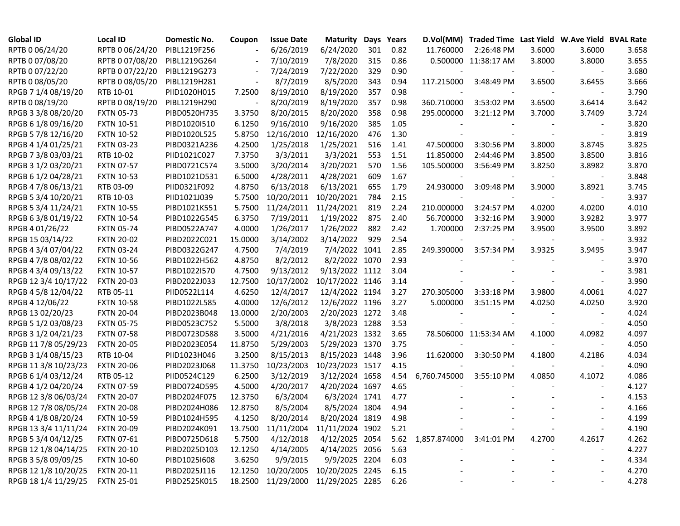| <b>Global ID</b>     | <b>Local ID</b>   | Domestic No. | Coupon  | <b>Issue Date</b>                  | <b>Maturity</b> |     | Days Years |                              | D.Vol(MM) Traded Time Last Yield W.Ave Yield BVAL Rate |        |                          |       |
|----------------------|-------------------|--------------|---------|------------------------------------|-----------------|-----|------------|------------------------------|--------------------------------------------------------|--------|--------------------------|-------|
| RPTB 0 06/24/20      | RPTB 0 06/24/20   | PIBL1219F256 |         | 6/26/2019                          | 6/24/2020       | 301 | 0.82       | 11.760000                    | 2:26:48 PM                                             | 3.6000 | 3.6000                   | 3.658 |
| RPTB 0 07/08/20      | RPTB 0 07/08/20   | PIBL1219G264 |         | 7/10/2019                          | 7/8/2020        | 315 | 0.86       |                              | 0.500000 11:38:17 AM                                   | 3.8000 | 3.8000                   | 3.655 |
| RPTB 0 07/22/20      | RPTB 0 07/22/20   | PIBL1219G273 |         | 7/24/2019                          | 7/22/2020       | 329 | 0.90       |                              |                                                        |        |                          | 3.680 |
| RPTB 0 08/05/20      | RPTB 0 08/05/20   | PIBL1219H281 |         | 8/7/2019                           | 8/5/2020        | 343 | 0.94       | 117.215000                   | 3:48:49 PM                                             | 3.6500 | 3.6455                   | 3.666 |
| RPGB 7 1/4 08/19/20  | RTB 10-01         | PIID1020H015 | 7.2500  | 8/19/2010                          | 8/19/2020       | 357 | 0.98       |                              |                                                        |        |                          | 3.790 |
| RPTB 0 08/19/20      | RPTB 0 08/19/20   | PIBL1219H290 |         | 8/20/2019                          | 8/19/2020       | 357 | 0.98       | 360.710000                   | 3:53:02 PM                                             | 3.6500 | 3.6414                   | 3.642 |
| RPGB 3 3/8 08/20/20  | <b>FXTN 05-73</b> | PIBD0520H735 | 3.3750  | 8/20/2015                          | 8/20/2020       | 358 | 0.98       | 295.000000                   | 3:21:12 PM                                             | 3.7000 | 3.7409                   | 3.724 |
| RPGB 6 1/8 09/16/20  | <b>FXTN 10-51</b> | PIBD1020I510 | 6.1250  | 9/16/2010                          | 9/16/2020       | 385 | 1.05       |                              |                                                        |        | $\overline{\phantom{a}}$ | 3.820 |
| RPGB 5 7/8 12/16/20  | <b>FXTN 10-52</b> | PIBD1020L525 | 5.8750  | 12/16/2010                         | 12/16/2020      | 476 | 1.30       |                              |                                                        |        | $\overline{\phantom{a}}$ | 3.819 |
| RPGB 4 1/4 01/25/21  | <b>FXTN 03-23</b> | PIBD0321A236 | 4.2500  | 1/25/2018                          | 1/25/2021       | 516 | 1.41       | 47.500000                    | 3:30:56 PM                                             | 3.8000 | 3.8745                   | 3.825 |
| RPGB 7 3/8 03/03/21  | RTB 10-02         | PIID1021C027 | 7.3750  | 3/3/2011                           | 3/3/2021        | 553 | 1.51       | 11.850000                    | 2:44:46 PM                                             | 3.8500 | 3.8500                   | 3.816 |
| RPGB 3 1/2 03/20/21  | <b>FXTN 07-57</b> | PIBD0721C574 | 3.5000  | 3/20/2014                          | 3/20/2021       | 570 | 1.56       | 105.500000                   | 3:56:49 PM                                             | 3.8250 | 3.8982                   | 3.870 |
| RPGB 6 1/2 04/28/21  | <b>FXTN 10-53</b> | PIBD1021D531 | 6.5000  | 4/28/2011                          | 4/28/2021       | 609 | 1.67       |                              |                                                        |        |                          | 3.848 |
| RPGB 4 7/8 06/13/21  | RTB 03-09         | PIID0321F092 | 4.8750  | 6/13/2018                          | 6/13/2021       | 655 | 1.79       | 24.930000                    | 3:09:48 PM                                             | 3.9000 | 3.8921                   | 3.745 |
| RPGB 5 3/4 10/20/21  | RTB 10-03         | PIID1021J039 | 5.7500  | 10/20/2011                         | 10/20/2021      | 784 | 2.15       |                              |                                                        |        |                          | 3.937 |
| RPGB 5 3/4 11/24/21  | <b>FXTN 10-55</b> | PIBD1021K551 | 5.7500  | 11/24/2011                         | 11/24/2021      | 819 | 2.24       | 210.000000                   | 3:24:57 PM                                             | 4.0200 | 4.0200                   | 4.010 |
| RPGB 6 3/8 01/19/22  | <b>FXTN 10-54</b> | PIBD1022G545 | 6.3750  | 7/19/2011                          | 1/19/2022       | 875 | 2.40       | 56.700000                    | 3:32:16 PM                                             | 3.9000 | 3.9282                   | 3.977 |
| RPGB 4 01/26/22      | <b>FXTN 05-74</b> | PIBD0522A747 | 4.0000  | 1/26/2017                          | 1/26/2022       | 882 | 2.42       | 1.700000                     | 2:37:25 PM                                             | 3.9500 | 3.9500                   | 3.892 |
| RPGB 15 03/14/22     | <b>FXTN 20-02</b> | PIBD2022C021 | 15.0000 | 3/14/2002                          | 3/14/2022       | 929 | 2.54       |                              |                                                        |        |                          | 3.932 |
| RPGB 4 3/4 07/04/22  | <b>FXTN 03-24</b> | PIBD0322G247 | 4.7500  | 7/4/2019                           | 7/4/2022 1041   |     | 2.85       | 249.390000                   | 3:57:34 PM                                             | 3.9325 | 3.9495                   | 3.947 |
| RPGB 4 7/8 08/02/22  | <b>FXTN 10-56</b> | PIBD1022H562 | 4.8750  | 8/2/2012                           | 8/2/2022 1070   |     | 2.93       |                              |                                                        |        | $\overline{\phantom{a}}$ | 3.970 |
| RPGB 4 3/4 09/13/22  | <b>FXTN 10-57</b> | PIBD1022I570 | 4.7500  | 9/13/2012                          | 9/13/2022 1112  |     | 3.04       |                              |                                                        |        |                          | 3.981 |
| RPGB 12 3/4 10/17/22 | <b>FXTN 20-03</b> | PIBD2022J033 | 12.7500 | 10/17/2002                         | 10/17/2022 1146 |     | 3.14       |                              |                                                        |        |                          | 3.990 |
| RPGB 4 5/8 12/04/22  | RTB 05-11         | PIID0522L114 | 4.6250  | 12/4/2017                          | 12/4/2022 1194  |     | 3.27       | 270.305000                   | 3:33:18 PM                                             | 3.9800 | 4.0061                   | 4.027 |
| RPGB 4 12/06/22      | <b>FXTN 10-58</b> | PIBD1022L585 | 4.0000  | 12/6/2012                          | 12/6/2022 1196  |     | 3.27       | 5.000000                     | 3:51:15 PM                                             | 4.0250 | 4.0250                   | 3.920 |
| RPGB 13 02/20/23     | <b>FXTN 20-04</b> | PIBD2023B048 | 13.0000 | 2/20/2003                          | 2/20/2023 1272  |     | 3.48       |                              |                                                        |        |                          | 4.024 |
| RPGB 5 1/2 03/08/23  | <b>FXTN 05-75</b> | PIBD0523C752 | 5.5000  | 3/8/2018                           | 3/8/2023 1288   |     | 3.53       |                              |                                                        |        |                          | 4.050 |
| RPGB 3 1/2 04/21/23  | <b>FXTN 07-58</b> | PIBD0723D588 | 3.5000  | 4/21/2016                          | 4/21/2023 1332  |     | 3.65       |                              | 78.506000 11:53:34 AM                                  | 4.1000 | 4.0982                   | 4.097 |
| RPGB 11 7/8 05/29/23 | <b>FXTN 20-05</b> | PIBD2023E054 | 11.8750 | 5/29/2003                          | 5/29/2023 1370  |     | 3.75       |                              |                                                        |        |                          | 4.050 |
| RPGB 3 1/4 08/15/23  | RTB 10-04         | PIID1023H046 | 3.2500  | 8/15/2013                          | 8/15/2023 1448  |     | 3.96       | 11.620000                    | 3:30:50 PM                                             | 4.1800 | 4.2186                   | 4.034 |
| RPGB 11 3/8 10/23/23 | <b>FXTN 20-06</b> | PIBD2023J068 | 11.3750 | 10/23/2003                         | 10/23/2023 1517 |     | 4.15       |                              |                                                        |        |                          | 4.090 |
| RPGB 6 1/4 03/12/24  | RTB 05-12         | PIID0524C129 | 6.2500  | 3/12/2019                          | 3/12/2024 1658  |     | 4.54       | 6,760.745000                 | 3:55:10 PM                                             | 4.0850 | 4.1072                   | 4.086 |
| RPGB 4 1/2 04/20/24  | <b>FXTN 07-59</b> | PIBD0724D595 | 4.5000  | 4/20/2017                          | 4/20/2024 1697  |     | 4.65       |                              |                                                        |        | $\overline{\phantom{a}}$ | 4.127 |
| RPGB 12 3/8 06/03/24 | <b>FXTN 20-07</b> | PIBD2024F075 | 12.3750 | 6/3/2004                           | 6/3/2024 1741   |     | 4.77       |                              |                                                        |        |                          | 4.153 |
| RPGB 12 7/8 08/05/24 | <b>FXTN 20-08</b> | PIBD2024H086 | 12.8750 | 8/5/2004                           | 8/5/2024 1804   |     | 4.94       |                              |                                                        |        |                          | 4.166 |
| RPGB 4 1/8 08/20/24  | <b>FXTN 10-59</b> | PIBD1024H595 | 4.1250  | 8/20/2014                          | 8/20/2024 1819  |     | 4.98       |                              |                                                        |        |                          | 4.199 |
| RPGB 13 3/4 11/11/24 | <b>FXTN 20-09</b> | PIBD2024K091 |         | 13.7500 11/11/2004 11/11/2024 1902 |                 |     | 5.21       |                              |                                                        |        |                          | 4.190 |
| RPGB 5 3/4 04/12/25  | <b>FXTN 07-61</b> | PIBD0725D618 | 5.7500  | 4/12/2018                          | 4/12/2025 2054  |     |            | 5.62 1,857.874000 3:41:01 PM |                                                        | 4.2700 | 4.2617                   | 4.262 |
| RPGB 12 1/8 04/14/25 | <b>FXTN 20-10</b> | PIBD2025D103 | 12.1250 | 4/14/2005                          | 4/14/2025 2056  |     | 5.63       |                              |                                                        |        |                          | 4.227 |
| RPGB 3 5/8 09/09/25  | <b>FXTN 10-60</b> | PIBD1025I608 | 3.6250  | 9/9/2015                           | 9/9/2025 2204   |     | 6.03       |                              |                                                        |        |                          | 4.334 |
| RPGB 12 1/8 10/20/25 | <b>FXTN 20-11</b> | PIBD2025J116 |         | 12.1250 10/20/2005                 | 10/20/2025 2245 |     | 6.15       |                              |                                                        |        |                          | 4.270 |
| RPGB 18 1/4 11/29/25 | <b>FXTN 25-01</b> | PIBD2525K015 |         | 18.2500 11/29/2000 11/29/2025 2285 |                 |     | 6.26       |                              |                                                        |        |                          | 4.278 |